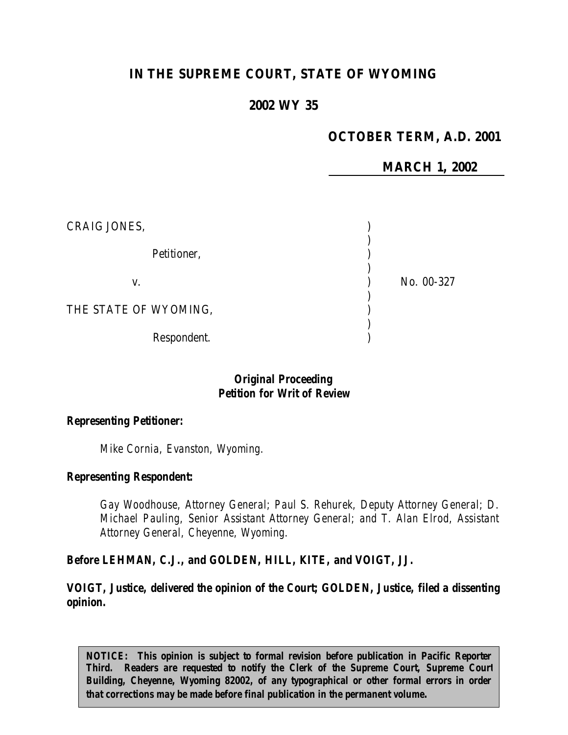# **IN THE SUPREME COURT, STATE OF WYOMING**

### **2002 WY 35**

## **OCTOBER TERM, A.D. 2001**

**MARCH 1, 2002**

| CRAIG JONES,          |            |
|-----------------------|------------|
| Petitioner,           |            |
| V.                    | No. 00-327 |
| THE STATE OF WYOMING, |            |
| Respondent.           |            |

### *Original Proceeding Petition for Writ of Review*

#### *Representing Petitioner:*

*Mike Cornia, Evanston, Wyoming.*

#### *Representing Respondent:*

*Gay Woodhouse, Attorney General; Paul S. Rehurek, Deputy Attorney General; D. Michael Pauling, Senior Assistant Attorney General; and T. Alan Elrod, Assistant Attorney General, Cheyenne, Wyoming.*

*Before LEHMAN, C.J., and GOLDEN, HILL, KITE, and VOIGT, JJ.*

*VOIGT, Justice, delivered the opinion of the Court; GOLDEN, Justice, filed a dissenting opinion.*

*NOTICE: This opinion is subject to formal revision before publication in Pacific Reporter Third. Readers are requested to notify the Clerk of the Supreme Court, Supreme Court Building, Cheyenne, Wyoming 82002, of any typographical or other formal errors in order that corrections may be made before final publication in the permanent volume.*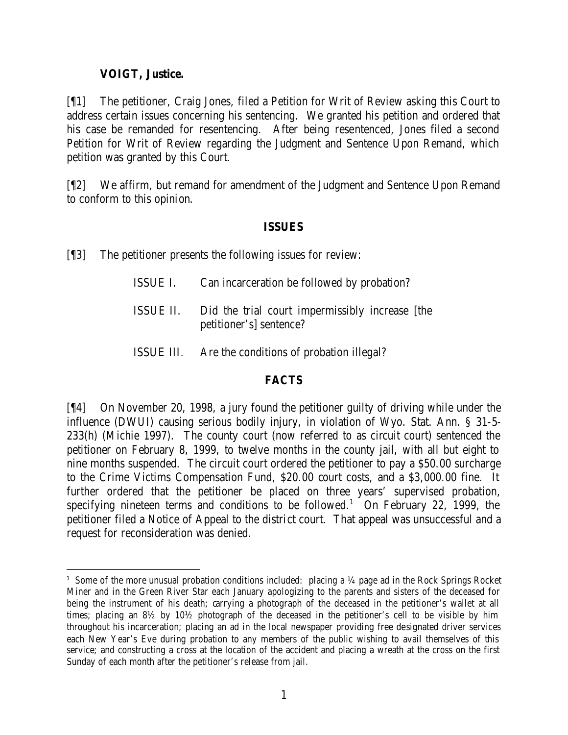## **VOIGT, Justice.**

[¶1] The petitioner, Craig Jones, filed a Petition for Writ of Review asking this Court to address certain issues concerning his sentencing. We granted his petition and ordered that his case be remanded for resentencing. After being resentenced, Jones filed a second Petition for Writ of Review regarding the Judgment and Sentence Upon Remand, which petition was granted by this Court.

[¶2] We affirm, but remand for amendment of the Judgment and Sentence Upon Remand to conform to this opinion.

### **ISSUES**

[¶3] The petitioner presents the following issues for review:

- ISSUE I. Can incarceration be followed by probation?
- ISSUE II. Did the trial court impermissibly increase [the petitioner's] sentence?
- ISSUE III. Are the conditions of probation illegal?

### **FACTS**

[¶4] On November 20, 1998, a jury found the petitioner guilty of driving while under the influence (DWUI) causing serious bodily injury, in violation of Wyo. Stat. Ann. § 31-5- 233(h) (Michie 1997). The county court (now referred to as circuit court) sentenced the petitioner on February 8, 1999, to twelve months in the county jail, with all but eight to nine months suspended. The circuit court ordered the petitioner to pay a \$50.00 surcharge to the Crime Victims Compensation Fund, \$20.00 court costs, and a \$3,000.00 fine. It further ordered that the petitioner be placed on three years' supervised probation, specifying nineteen terms and conditions to be followed.<sup>1</sup> On February 22, 1999, the petitioner filed a Notice of Appeal to the district court. That appeal was unsuccessful and a request for reconsideration was denied.

<sup>&</sup>lt;sup>1</sup> Some of the more unusual probation conditions included: placing a ¼ page ad in the Rock Springs Rocket Miner and in the Green River Star each January apologizing to the parents and sisters of the deceased for being the instrument of his death; carrying a photograph of the deceased in the petitioner's wallet at all times; placing an 8½ by 10½ photograph of the deceased in the petitioner's cell to be visible by him throughout his incarceration; placing an ad in the local newspaper providing free designated driver services each New Year's Eve during probation to any members of the public wishing to avail themselves of this service; and constructing a cross at the location of the accident and placing a wreath at the cross on the first Sunday of each month after the petitioner's release from jail.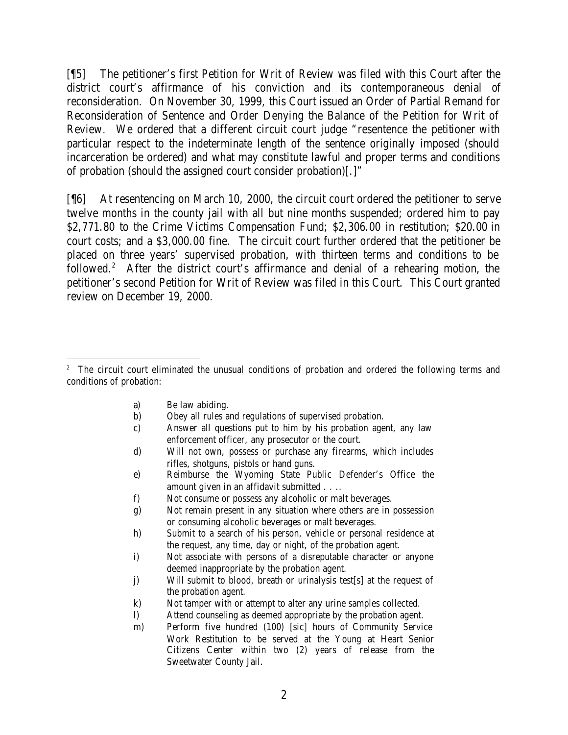[¶5] The petitioner's first Petition for Writ of Review was filed with this Court after the district court's affirmance of his conviction and its contemporaneous denial of reconsideration. On November 30, 1999, this Court issued an Order of Partial Remand for Reconsideration of Sentence and Order Denying the Balance of the Petition for Writ of Review. We ordered that a different circuit court judge "resentence the petitioner with particular respect to the indeterminate length of the sentence originally imposed (should incarceration be ordered) and what may constitute lawful and proper terms and conditions of probation (should the assigned court consider probation)[.]"

[¶6] At resentencing on March 10, 2000, the circuit court ordered the petitioner to serve twelve months in the county jail with all but nine months suspended; ordered him to pay \$2,771.80 to the Crime Victims Compensation Fund; \$2,306.00 in restitution; \$20.00 in court costs; and a \$3,000.00 fine. The circuit court further ordered that the petitioner be placed on three years' supervised probation, with thirteen terms and conditions to be followed.<sup>2</sup> After the district court's affirmance and denial of a rehearing motion, the petitioner's second Petition for Writ of Review was filed in this Court. This Court granted review on December 19, 2000.

a) Be law abiding.

- b) Obey all rules and regulations of supervised probation.
- c) Answer all questions put to him by his probation agent, any law enforcement officer, any prosecutor or the court.
- d) Will not own, possess or purchase any firearms, which includes rifles, shotguns, pistols or hand guns.
- e) Reimburse the Wyoming State Public Defender's Office the amount given in an affidavit submitted . . ..
- f) Not consume or possess any alcoholic or malt beverages.
- g) Not remain present in any situation where others are in possession or consuming alcoholic beverages or malt beverages.
- h) Submit to a search of his person, vehicle or personal residence at the request, any time, day or night, of the probation agent.
- i) Not associate with persons of a disreputable character or anyone deemed inappropriate by the probation agent.
- j) Will submit to blood, breath or urinalysis test[s] at the request of the probation agent.
- k) Not tamper with or attempt to alter any urine samples collected.
- l) Attend counseling as deemed appropriate by the probation agent.
- m) Perform five hundred (100) [sic] hours of Community Service Work Restitution to be served at the Young at Heart Senior Citizens Center within two (2) years of release from the Sweetwater County Jail.

<sup>&</sup>lt;sup>2</sup> The circuit court eliminated the unusual conditions of probation and ordered the following terms and conditions of probation: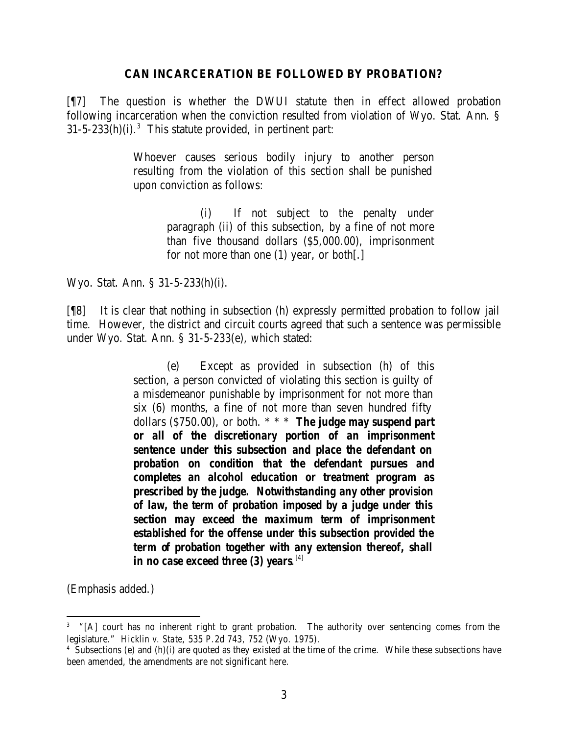#### **CAN INCARCERATION BE FOLLOWED BY PROBATION?**

[¶7] The question is whether the DWUI statute then in effect allowed probation following incarceration when the conviction resulted from violation of Wyo. Stat. Ann. §  $31-5-233(h)(i).<sup>3</sup>$  This statute provided, in pertinent part:

> Whoever causes serious bodily injury to another person resulting from the violation of this section shall be punished upon conviction as follows:

> > (i) If not subject to the penalty under paragraph (ii) of this subsection, by a fine of not more than five thousand dollars (\$5,000.00), imprisonment for not more than one (1) year, or both[.]

Wyo. Stat. Ann. § 31-5-233(h)(i).

[¶8] It is clear that nothing in subsection (h) expressly permitted probation to follow jail time. However, the district and circuit courts agreed that such a sentence was permissible under Wyo. Stat. Ann. § 31-5-233(e), which stated:

> (e) Except as provided in subsection (h) of this section, a person convicted of violating this section is guilty of a misdemeanor punishable by imprisonment for not more than six (6) months, a fine of not more than seven hundred fifty dollars (\$750.00), or both. \* \* \* *The judge may suspend part or all of the discretionary portion of an imprisonment sentence under this subsection and place the defendant on probation on condition that the defendant pursues and completes an alcohol education or treatment program as prescribed by the judge. Notwithstanding any other provision of law, the term of probation imposed by a judge under this section may exceed the maximum term of imprisonment established for the offense under this subsection provided the term of probation together with any extension thereof, shall in no case exceed three (3) years*. [4]

(Emphasis added.)

<sup>&</sup>lt;sup>3</sup> "[A] court has no inherent right to grant probation. The authority over sentencing comes from the legislature." *Hicklin v. State*, 535 P.2d 743, 752 (Wyo. 1975).

<sup>4</sup> Subsections (e) and (h)(i) are quoted as they existed at the time of the crime. While these subsections have been amended, the amendments are not significant here.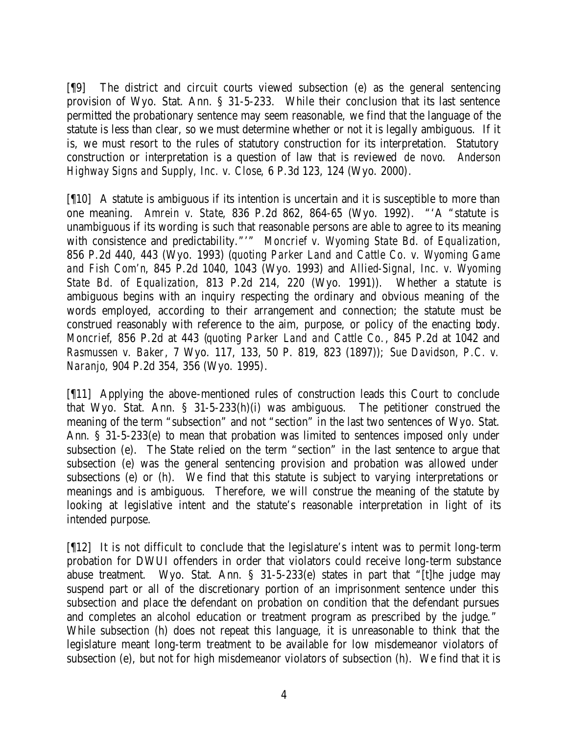[¶9] The district and circuit courts viewed subsection (e) as the general sentencing provision of Wyo. Stat. Ann. § 31-5-233. While their conclusion that its last sentence permitted the probationary sentence may seem reasonable, we find that the language of the statute is less than clear, so we must determine whether or not it is legally ambiguous. If it is, we must resort to the rules of statutory construction for its interpretation. Statutory construction or interpretation is a question of law that is reviewed *de novo*. *Anderson Highway Signs and Supply, Inc. v. Close*, 6 P.3d 123, 124 (Wyo. 2000).

[¶10] A statute is ambiguous if its intention is uncertain and it is susceptible to more than one meaning. *Amrein v. State*, 836 P.2d 862, 864-65 (Wyo. 1992). "'A "statute is unambiguous if its wording is such that reasonable persons are able to agree to its meaning with consistence and predictability."'" *Moncrief v. Wyoming State Bd. of Equalization*, 856 P.2d 440, 443 (Wyo. 1993) (*quoting Parker Land and Cattle Co. v. Wyoming Game and Fish Com'n*, 845 P.2d 1040, 1043 (Wyo. 1993) and *Allied-Signal, Inc. v. Wyoming State Bd. of Equalization*, 813 P.2d 214, 220 (Wyo. 1991)). Whether a statute is ambiguous begins with an inquiry respecting the ordinary and obvious meaning of the words employed, according to their arrangement and connection; the statute must be construed reasonably with reference to the aim, purpose, or policy of the enacting body. *Moncrief*, 856 P.2d at 443 (*quoting Parker Land and Cattle Co.*, 845 P.2d at 1042 and *Rasmussen v. Baker*, 7 Wyo. 117, 133, 50 P. 819, 823 (1897)); *Sue Davidson, P.C. v. Naranjo*, 904 P.2d 354, 356 (Wyo. 1995).

[¶11] Applying the above-mentioned rules of construction leads this Court to conclude that Wyo. Stat. Ann. § 31-5-233(h)(i) was ambiguous. The petitioner construed the meaning of the term "subsection" and not "section" in the last two sentences of Wyo. Stat. Ann. § 31-5-233(e) to mean that probation was limited to sentences imposed only under subsection (e). The State relied on the term "section" in the last sentence to argue that subsection (e) was the general sentencing provision and probation was allowed under subsections (e) or (h). We find that this statute is subject to varying interpretations or meanings and is ambiguous. Therefore, we will construe the meaning of the statute by looking at legislative intent and the statute's reasonable interpretation in light of its intended purpose.

[¶12] It is not difficult to conclude that the legislature's intent was to permit long-term probation for DWUI offenders in order that violators could receive long-term substance abuse treatment. Wyo. Stat. Ann. § 31-5-233(e) states in part that "[t]he judge may suspend part or all of the discretionary portion of an imprisonment sentence under this subsection and place the defendant on probation on condition that the defendant pursues and completes an alcohol education or treatment program as prescribed by the judge." While subsection (h) does not repeat this language, it is unreasonable to think that the legislature meant long-term treatment to be available for low misdemeanor violators of subsection (e), but not for high misdemeanor violators of subsection (h). We find that it is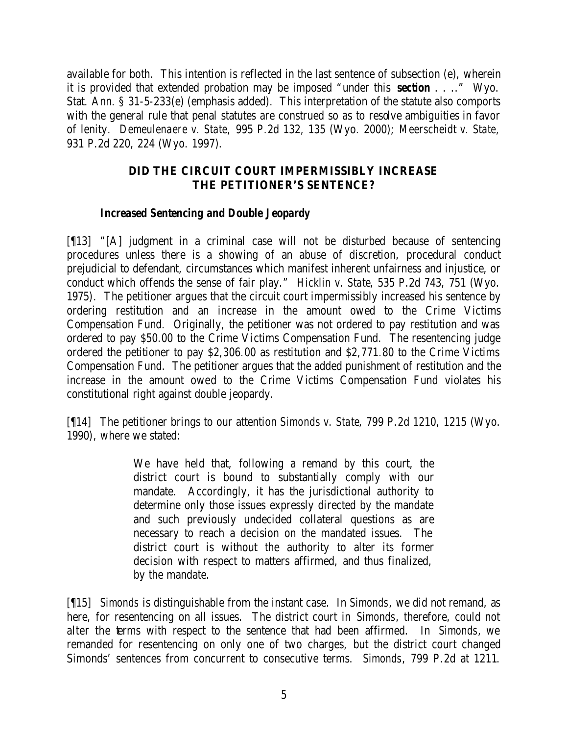available for both. This intention is reflected in the last sentence of subsection (e), wherein it is provided that extended probation may be imposed "under this *section* . . .." Wyo. Stat. Ann. § 31-5-233(e) (emphasis added). This interpretation of the statute also comports with the general rule that penal statutes are construed so as to resolve ambiguities in favor of lenity. *Demeulenaere v. State,* 995 P.2d 132, 135 (Wyo. 2000); *Meerscheidt v. State,*  931 P.2d 220, 224 (Wyo. 1997).

## **DID THE CIRCUIT COURT IMPERMISSIBLY INCREASE THE PETITIONER'S SENTENCE?**

## *Increased Sentencing and Double Jeopardy*

[¶13] "[A] judgment in a criminal case will not be disturbed because of sentencing procedures unless there is a showing of an abuse of discretion, procedural conduct prejudicial to defendant, circumstances which manifest inherent unfairness and injustice, or conduct which offends the sense of fair play." *Hicklin v. State*, 535 P.2d 743, 751 (Wyo. 1975). The petitioner argues that the circuit court impermissibly increased his sentence by ordering restitution and an increase in the amount owed to the Crime Victims Compensation Fund. Originally, the petitioner was not ordered to pay restitution and was ordered to pay \$50.00 to the Crime Victims Compensation Fund. The resentencing judge ordered the petitioner to pay \$2,306.00 as restitution and \$2,771.80 to the Crime Victims Compensation Fund. The petitioner argues that the added punishment of restitution and the increase in the amount owed to the Crime Victims Compensation Fund violates his constitutional right against double jeopardy.

[¶14] The petitioner brings to our attention *Simonds v. State*, 799 P.2d 1210, 1215 (Wyo. 1990), where we stated:

> We have held that, following a remand by this court, the district court is bound to substantially comply with our mandate. Accordingly, it has the jurisdictional authority to determine only those issues expressly directed by the mandate and such previously undecided collateral questions as are necessary to reach a decision on the mandated issues. The district court is without the authority to alter its former decision with respect to matters affirmed, and thus finalized, by the mandate.

[¶15] *Simonds* is distinguishable from the instant case. In *Simonds*, we did not remand, as here, for resentencing on all issues. The district court in *Simonds*, therefore, could not alter the terms with respect to the sentence that had been affirmed. In *Simonds*, we remanded for resentencing on only one of two charges, but the district court changed Simonds' sentences from concurrent to consecutive terms. *Simonds*, 799 P.2d at 1211.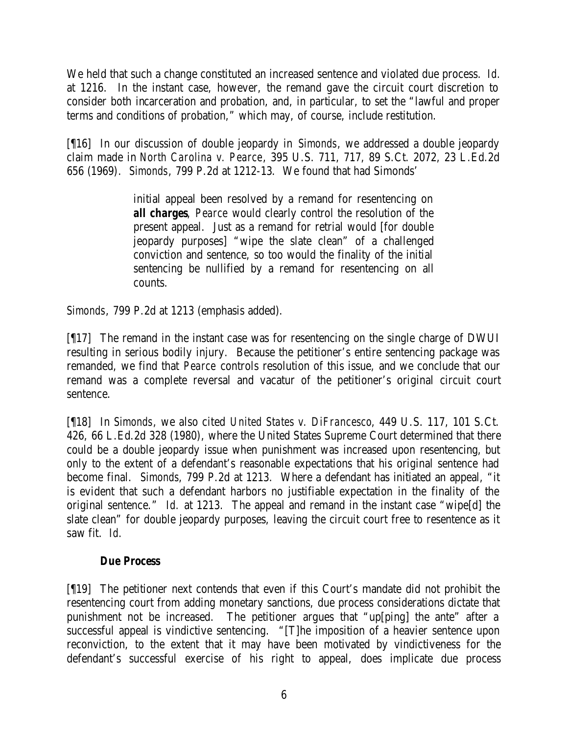We held that such a change constituted an increased sentence and violated due process. *Id.* at 1216. In the instant case, however, the remand gave the circuit court discretion to consider both incarceration and probation, and, in particular, to set the "lawful and proper terms and conditions of probation," which may, of course, include restitution.

[¶16] In our discussion of double jeopardy in *Simonds*, we addressed a double jeopardy claim made in *North Carolina v. Pearce*, 395 U.S. 711, 717, 89 S.Ct. 2072, 23 L.Ed.2d 656 (1969). *Simonds*, 799 P.2d at 1212-13. We found that had Simonds'

> initial appeal been resolved by a remand for resentencing on *all charges*, *Pearce* would clearly control the resolution of the present appeal. Just as a remand for retrial would [for double jeopardy purposes] "wipe the slate clean" of a challenged conviction and sentence, so too would the finality of the initial sentencing be nullified by a remand for resentencing on all counts.

*Simonds*, 799 P.2d at 1213 (emphasis added).

[¶17] The remand in the instant case was for resentencing on the single charge of DWUI resulting in serious bodily injury. Because the petitioner's entire sentencing package was remanded, we find that *Pearce* controls resolution of this issue, and we conclude that our remand was a complete reversal and vacatur of the petitioner's original circuit court sentence.

[¶18] In *Simonds*, we also cited *United States v. DiFrancesco*, 449 U.S. 117, 101 S.Ct. 426, 66 L.Ed.2d 328 (1980), where the United States Supreme Court determined that there could be a double jeopardy issue when punishment was increased upon resentencing, but only to the extent of a defendant's reasonable expectations that his original sentence had become final. *Simonds*, 799 P.2d at 1213. Where a defendant has initiated an appeal, "it is evident that such a defendant harbors no justifiable expectation in the finality of the original sentence." *Id.* at 1213. The appeal and remand in the instant case "wipe[d] the slate clean" for double jeopardy purposes, leaving the circuit court free to resentence as it saw fit. *Id.*

## *Due Process*

[¶19] The petitioner next contends that even if this Court's mandate did not prohibit the resentencing court from adding monetary sanctions, due process considerations dictate that punishment not be increased. The petitioner argues that "up[ping] the ante" after a successful appeal is vindictive sentencing. "[T]he imposition of a heavier sentence upon reconviction, to the extent that it may have been motivated by vindictiveness for the defendant's successful exercise of his right to appeal, does implicate due process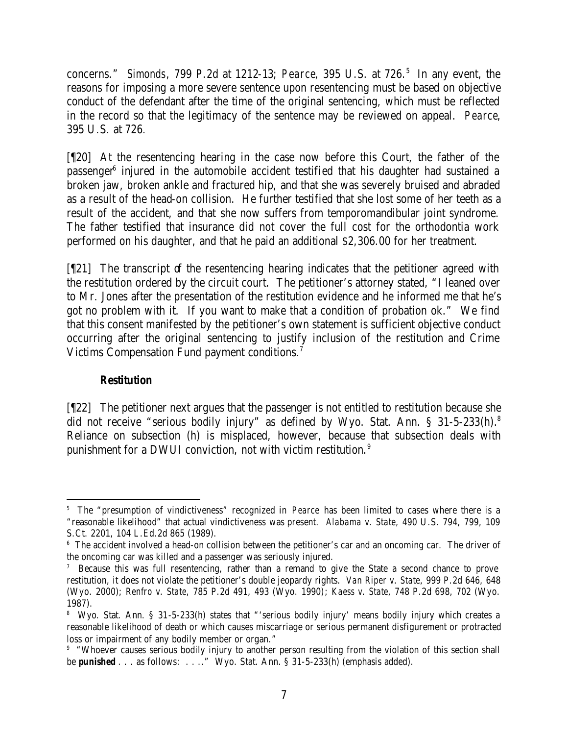concerns." *Simonds*, 799 P.2d at 1212-13; *Pearce*, 395 U.S. at 726. 5 In any event, the reasons for imposing a more severe sentence upon resentencing must be based on objective conduct of the defendant after the time of the original sentencing, which must be reflected in the record so that the legitimacy of the sentence may be reviewed on appeal. *Pearce*, 395 U.S. at 726.

[¶20] At the resentencing hearing in the case now before this Court, the father of the passenger<sup>6</sup> injured in the automobile accident testified that his daughter had sustained a broken jaw, broken ankle and fractured hip, and that she was severely bruised and abraded as a result of the head-on collision. He further testified that she lost some of her teeth as a result of the accident, and that she now suffers from temporomandibular joint syndrome. The father testified that insurance did not cover the full cost for the orthodontia work performed on his daughter, and that he paid an additional \$2,306.00 for her treatment.

[¶21] The transcript of the resentencing hearing indicates that the petitioner agreed with the restitution ordered by the circuit court. The petitioner's attorney stated, "I leaned over to Mr. Jones after the presentation of the restitution evidence and he informed me that he's got no problem with it. If you want to make that a condition of probation ok." We find that this consent manifested by the petitioner's own statement is sufficient objective conduct occurring after the original sentencing to justify inclusion of the restitution and Crime Victims Compensation Fund payment conditions.<sup>7</sup>

### *Restitution*

[¶22] The petitioner next argues that the passenger is not entitled to restitution because she did not receive "serious bodily injury" as defined by Wyo. Stat. Ann. § 31-5-233(h).<sup>8</sup> Reliance on subsection (h) is misplaced, however, because that subsection deals with punishment for a DWUI conviction, not with victim restitution.<sup>9</sup>

<sup>5</sup> The "presumption of vindictiveness" recognized in *Pearce* has been limited to cases where there is a "reasonable likelihood" that actual vindictiveness was present. *Alabama v. State*, 490 U.S. 794, 799, 109 S.Ct. 2201, 104 L.Ed.2d 865 (1989).

<sup>&</sup>lt;sup>6</sup> The accident involved a head-on collision between the petitioner's car and an oncoming car. The driver of the oncoming car was killed and a passenger was seriously injured.

<sup>7</sup> Because this was full resentencing, rather than a remand to give the State a second chance to prove restitution, it does not violate the petitioner's double jeopardy rights. *Van Riper v. State*, 999 P.2d 646, 648 (Wyo. 2000); *Renfro v. State*, 785 P.2d 491, 493 (Wyo. 1990); *Kaess v. State*, 748 P.2d 698, 702 (Wyo. 1987).

<sup>8</sup> Wyo. Stat. Ann. § 31-5-233(h) states that "'serious bodily injury' means bodily injury which creates a reasonable likelihood of death or which causes miscarriage or serious permanent disfigurement or protracted loss or impairment of any bodily member or organ."

<sup>9</sup> "Whoever causes serious bodily injury to another person resulting from the violation of this section shall be *punished* . . . as follows: . . .." Wyo. Stat. Ann. § 31-5-233(h) (emphasis added).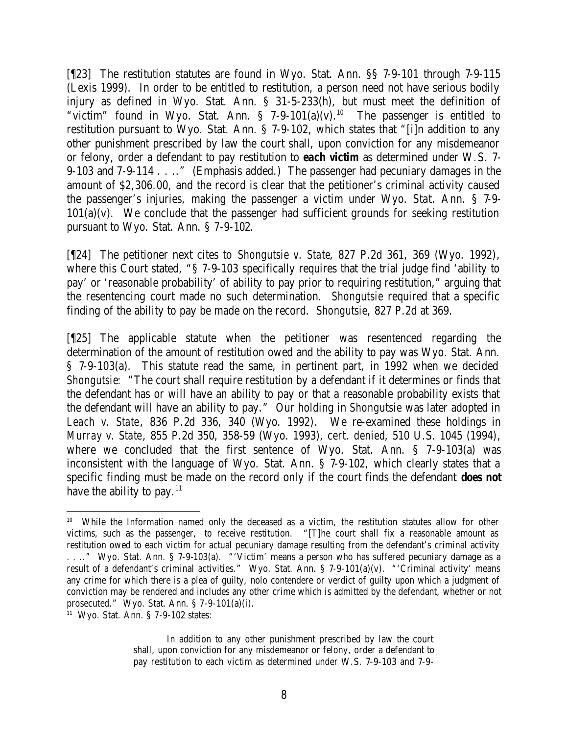[¶23] The restitution statutes are found in Wyo. Stat. Ann. §§ 7-9-101 through 7-9-115 (Lexis 1999). In order to be entitled to restitution, a person need not have serious bodily injury as defined in Wyo. Stat. Ann. § 31-5-233(h), but must meet the definition of "victim" found in Wyo. Stat. Ann. § 7-9-101(a)(v).<sup>10</sup> The passenger is entitled to restitution pursuant to Wyo. Stat. Ann. § 7-9-102, which states that "[i]n addition to any other punishment prescribed by law the court shall, upon conviction for any misdemeanor or felony, order a defendant to pay restitution to *each victim* as determined under W.S. 7- 9-103 and 7-9-114 . . .." (Emphasis added.) The passenger had pecuniary damages in the amount of \$2,306.00, and the record is clear that the petitioner's criminal activity caused the passenger's injuries, making the passenger a victim under Wyo. Stat. Ann. § 7-9-  $101(a)(v)$ . We conclude that the passenger had sufficient grounds for seeking restitution pursuant to Wyo. Stat. Ann. § 7-9-102.

[¶24] The petitioner next cites to *Shongutsie v. State*, 827 P.2d 361, 369 (Wyo. 1992), where this Court stated, "§ 7-9-103 specifically requires that the trial judge find 'ability to pay' or 'reasonable probability' of ability to pay prior to requiring restitution," arguing that the resentencing court made no such determination. *Shongutsie* required that a specific finding of the ability to pay be made on the record. *Shongutsie*, 827 P.2d at 369.

[¶25] The applicable statute when the petitioner was resentenced regarding the determination of the amount of restitution owed and the ability to pay was Wyo. Stat. Ann. § 7-9-103(a). This statute read the same, in pertinent part, in 1992 when we decided *Shongutsie*: "The court shall require restitution by a defendant if it determines or finds that the defendant has or will have an ability to pay or that a reasonable probability exists that the defendant will have an ability to pay." Our holding in *Shongutsie* was later adopted in *Leach v. State*, 836 P.2d 336, 340 (Wyo. 1992). We re-examined these holdings in *Murray v. State*, 855 P.2d 350, 358-59 (Wyo. 1993), *cert. denied*, 510 U.S. 1045 (1994), where we concluded that the first sentence of Wyo. Stat. Ann. § 7-9-103(a) was inconsistent with the language of Wyo. Stat. Ann. § 7-9-102, which clearly states that a specific finding must be made on the record only if the court finds the defendant *does not* have the ability to pay. $^{11}$ 

In addition to any other punishment prescribed by law the court shall, upon conviction for any misdemeanor or felony, order a defendant to pay restitution to each victim as determined under W.S. 7-9-103 and 7-9-

<sup>&</sup>lt;sup>10</sup> While the Information named only the deceased as a victim, the restitution statutes allow for other victims, such as the passenger, to receive restitution. "[T]he court shall fix a reasonable amount as restitution owed to each victim for actual pecuniary damage resulting from the defendant's criminal activity . . .." Wyo. Stat. Ann. § 7-9-103(a). "'Victim' means a person who has suffered pecuniary damage as a result of a defendant's criminal activities." Wyo. Stat. Ann. § 7-9-101(a)(v). "'Criminal activity' means any crime for which there is a plea of guilty, nolo contendere or verdict of guilty upon which a judgment of conviction may be rendered and includes any other crime which is admitted by the defendant, whether or not prosecuted." Wyo. Stat. Ann. § 7-9-101(a)(i).

<sup>11</sup> Wyo. Stat. Ann. § 7-9-102 states: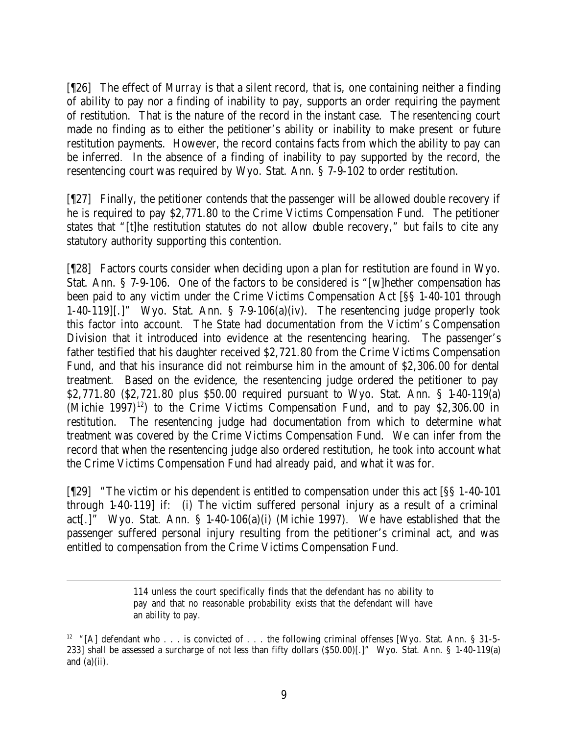[¶26] The effect of *Murray* is that a silent record, that is, one containing neither a finding of ability to pay nor a finding of inability to pay, supports an order requiring the payment of restitution. That is the nature of the record in the instant case. The resentencing court made no finding as to either the petitioner's ability or inability to make present or future restitution payments. However, the record contains facts from which the ability to pay can be inferred. In the absence of a finding of inability to pay supported by the record, the resentencing court was required by Wyo. Stat. Ann. § 7-9-102 to order restitution.

[¶27] Finally, the petitioner contends that the passenger will be allowed double recovery if he is required to pay \$2,771.80 to the Crime Victims Compensation Fund. The petitioner states that "[t]he restitution statutes do not allow double recovery," but fails to cite any statutory authority supporting this contention.

[¶28] Factors courts consider when deciding upon a plan for restitution are found in Wyo. Stat. Ann. § 7-9-106. One of the factors to be considered is "[w]hether compensation has been paid to any victim under the Crime Victims Compensation Act [§§ 1-40-101 through 1-40-119][.]" Wyo. Stat. Ann. § 7-9-106(a)(iv). The resentencing judge properly took this factor into account. The State had documentation from the Victim's Compensation Division that it introduced into evidence at the resentencing hearing. The passenger's father testified that his daughter received \$2,721.80 from the Crime Victims Compensation Fund, and that his insurance did not reimburse him in the amount of \$2,306.00 for dental treatment. Based on the evidence, the resentencing judge ordered the petitioner to pay \$2,771.80 (\$2,721.80 plus \$50.00 required pursuant to Wyo. Stat. Ann. § 1-40-119(a) (Michie 1997)<sup>12</sup>) to the Crime Victims Compensation Fund, and to pay  $$2,306.00$  in restitution. The resentencing judge had documentation from which to determine what treatment was covered by the Crime Victims Compensation Fund. We can infer from the record that when the resentencing judge also ordered restitution, he took into account what the Crime Victims Compensation Fund had already paid, and what it was for.

[¶29] "The victim or his dependent is entitled to compensation under this act [§§ 1-40-101 through 1-40-119] if: (i) The victim suffered personal injury as a result of a criminal act[.]" Wyo. Stat. Ann. § 1-40-106(a)(i) (Michie 1997). We have established that the passenger suffered personal injury resulting from the petitioner's criminal act, and was entitled to compensation from the Crime Victims Compensation Fund.

> 114 unless the court specifically finds that the defendant has no ability to pay and that no reasonable probability exists that the defendant will have an ability to pay.

<sup>&</sup>lt;sup>12</sup> "[A] defendant who . . . is convicted of . . . the following criminal offenses [Wyo. Stat. Ann. § 31-5-233] shall be assessed a surcharge of not less than fifty dollars (\$50.00)[.]" Wyo. Stat. Ann. § 1-40-119(a) and  $(a)(ii)$ .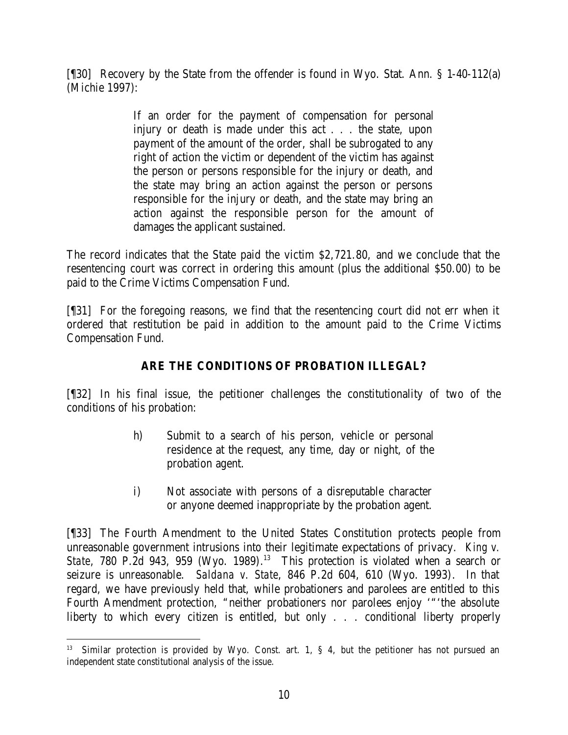[¶30] Recovery by the State from the offender is found in Wyo. Stat. Ann. § 1-40-112(a) (Michie 1997):

> If an order for the payment of compensation for personal injury or death is made under this act . . . the state, upon payment of the amount of the order, shall be subrogated to any right of action the victim or dependent of the victim has against the person or persons responsible for the injury or death, and the state may bring an action against the person or persons responsible for the injury or death, and the state may bring an action against the responsible person for the amount of damages the applicant sustained.

The record indicates that the State paid the victim \$2,721.80, and we conclude that the resentencing court was correct in ordering this amount (plus the additional \$50.00) to be paid to the Crime Victims Compensation Fund.

[¶31] For the foregoing reasons, we find that the resentencing court did not err when it ordered that restitution be paid in addition to the amount paid to the Crime Victims Compensation Fund.

## **ARE THE CONDITIONS OF PROBATION ILLEGAL?**

[¶32] In his final issue, the petitioner challenges the constitutionality of two of the conditions of his probation:

- h) Submit to a search of his person, vehicle or personal residence at the request, any time, day or night, of the probation agent.
- i) Not associate with persons of a disreputable character or anyone deemed inappropriate by the probation agent.

[¶33] The Fourth Amendment to the United States Constitution protects people from unreasonable government intrusions into their legitimate expectations of privacy. *King v. State*, 780 P.2d 943, 959 (Wyo. 1989). <sup>13</sup> This protection is violated when a search or seizure is unreasonable. *Saldana v. State*, 846 P.2d 604, 610 (Wyo. 1993). In that regard, we have previously held that, while probationers and parolees are entitled to this Fourth Amendment protection, "neither probationers nor parolees enjoy '"'the absolute liberty to which every citizen is entitled, but only . . . conditional liberty properly

<sup>&</sup>lt;sup>13</sup> Similar protection is provided by Wyo. Const. art. 1, § 4, but the petitioner has not pursued an independent state constitutional analysis of the issue.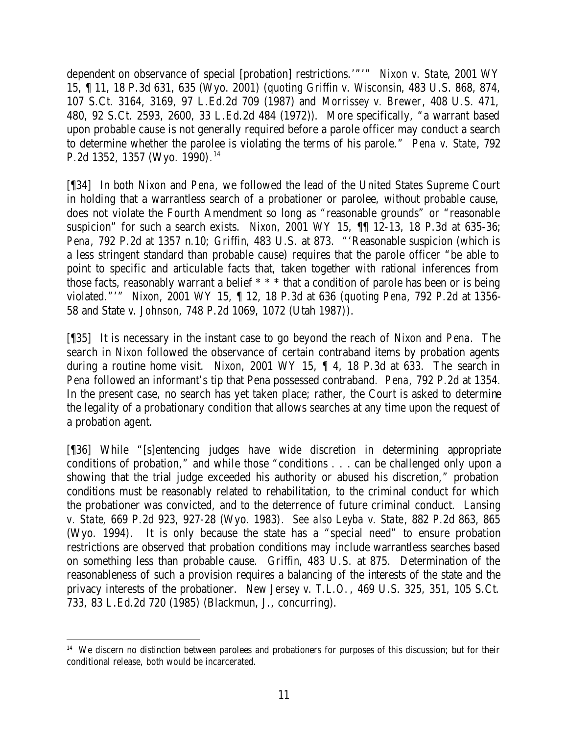dependent on observance of special [probation] restrictions.'"'" *Nixon v. State*, 2001 WY 15, ¶ 11, 18 P.3d 631, 635 (Wyo. 2001) (*quoting Griffin v. Wisconsin*, 483 U.S. 868, 874, 107 S.Ct. 3164, 3169, 97 L.Ed.2d 709 (1987) and *Morrissey v. Brewer*, 408 U.S. 471, 480, 92 S.Ct. 2593, 2600, 33 L.Ed.2d 484 (1972)). More specifically, "a warrant based upon probable cause is not generally required before a parole officer may conduct a search to determine whether the parolee is violating the terms of his parole." *Pena v. State*, 792 P.2d 1352, 1357 (Wyo. 1990). 14

[¶34] In both *Nixon* and *Pena*, we followed the lead of the United States Supreme Court in holding that a warrantless search of a probationer or parolee, without probable cause, does not violate the Fourth Amendment so long as "reasonable grounds" or "reasonable suspicion" for such a search exists. *Nixon*, 2001 WY 15, ¶¶ 12-13, 18 P.3d at 635-36; *Pena*, 792 P.2d at 1357 n.10; *Griffin*, 483 U.S. at 873. "'Reasonable suspicion (which is a less stringent standard than probable cause) requires that the parole officer "be able to point to specific and articulable facts that, taken together with rational inferences from those facts, reasonably warrant a belief \* \* \* that a condition of parole has been or is being violated."'" *Nixon*, 2001 WY 15, ¶ 12, 18 P.3d at 636 (*quoting Pena*, 792 P.2d at 1356- 58 and State *v. Johnson*, 748 P.2d 1069, 1072 (Utah 1987)).

[¶35] It is necessary in the instant case to go beyond the reach of *Nixon* and *Pena*. The search in *Nixon* followed the observance of certain contraband items by probation agents during a routine home visit. *Nixon*, 2001 WY 15, ¶ 4, 18 P.3d at 633. The search in *Pena* followed an informant's tip that Pena possessed contraband. *Pena*, 792 P.2d at 1354. In the present case, no search has yet taken place; rather, the Court is asked to determine the legality of a probationary condition that allows searches at any time upon the request of a probation agent.

[¶36] While "[s]entencing judges have wide discretion in determining appropriate conditions of probation," and while those "conditions . . . can be challenged only upon a showing that the trial judge exceeded his authority or abused his discretion," probation conditions must be reasonably related to rehabilitation, to the criminal conduct for which the probationer was convicted, and to the deterrence of future criminal conduct. *Lansing v. State*, 669 P.2d 923, 927-28 (Wyo. 1983). *See also Leyba v. State*, 882 P.2d 863, 865 (Wyo. 1994). It is only because the state has a "special need" to ensure probation restrictions are observed that probation conditions may include warrantless searches based on something less than probable cause. *Griffin*, 483 U.S. at 875. Determination of the reasonableness of such a provision requires a balancing of the interests of the state and the privacy interests of the probationer. *New Jersey v. T.L.O.*, 469 U.S. 325, 351, 105 S.Ct. 733, 83 L.Ed.2d 720 (1985) (Blackmun, J., concurring).

 <sup>14</sup> We discern no distinction between parolees and probationers for purposes of this discussion; but for their conditional release, both would be incarcerated.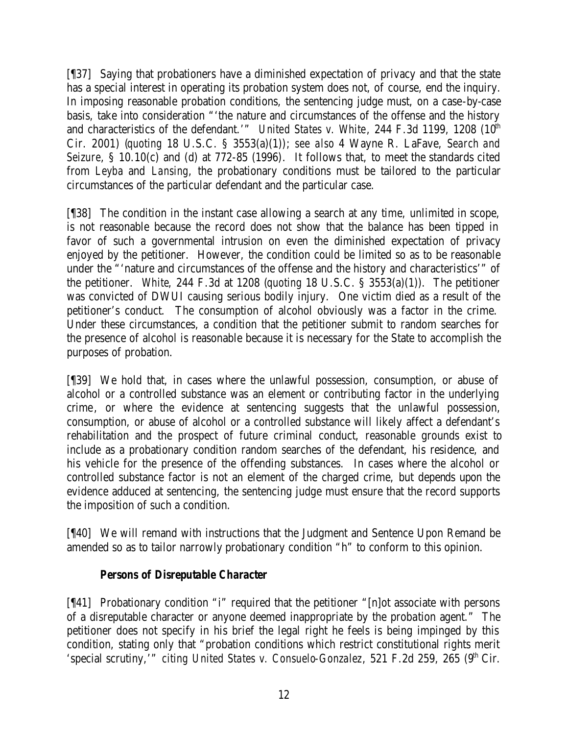[¶37] Saying that probationers have a diminished expectation of privacy and that the state has a special interest in operating its probation system does not, of course, end the inquiry. In imposing reasonable probation conditions, the sentencing judge must, on a case-by-case basis, take into consideration "'the nature and circumstances of the offense and the history and characteristics of the defendant.'" *United States v. White*, 244 F.3d 1199, 1208 (10<sup>th</sup>) Cir. 2001) (*quoting* 18 U.S.C. § 3553(a)(1)); *see also* 4 Wayne R. LaFave, *Search and Seizure*, § 10.10(c) and (d) at 772-85 (1996). It follows that, to meet the standards cited from *Leyba* and *Lansing*, the probationary conditions must be tailored to the particular circumstances of the particular defendant and the particular case.

[¶38] The condition in the instant case allowing a search at any time, unlimited in scope, is not reasonable because the record does not show that the balance has been tipped in favor of such a governmental intrusion on even the diminished expectation of privacy enjoyed by the petitioner. However, the condition could be limited so as to be reasonable under the "'nature and circumstances of the offense and the history and characteristics'" of the petitioner. *White*, 244 F.3d at 1208 (*quoting* 18 U.S.C. § 3553(a)(1)). The petitioner was convicted of DWUI causing serious bodily injury. One victim died as a result of the petitioner's conduct. The consumption of alcohol obviously was a factor in the crime. Under these circumstances, a condition that the petitioner submit to random searches for the presence of alcohol is reasonable because it is necessary for the State to accomplish the purposes of probation.

[¶39] We hold that, in cases where the unlawful possession, consumption, or abuse of alcohol or a controlled substance was an element or contributing factor in the underlying crime, or where the evidence at sentencing suggests that the unlawful possession, consumption, or abuse of alcohol or a controlled substance will likely affect a defendant's rehabilitation and the prospect of future criminal conduct, reasonable grounds exist to include as a probationary condition random searches of the defendant, his residence, and his vehicle for the presence of the offending substances. In cases where the alcohol or controlled substance factor is not an element of the charged crime, but depends upon the evidence adduced at sentencing, the sentencing judge must ensure that the record supports the imposition of such a condition.

[¶40] We will remand with instructions that the Judgment and Sentence Upon Remand be amended so as to tailor narrowly probationary condition "h" to conform to this opinion.

## *Persons of Disreputable Character*

[¶41] Probationary condition "i" required that the petitioner "[n]ot associate with persons of a disreputable character or anyone deemed inappropriate by the probation agent." The petitioner does not specify in his brief the legal right he feels is being impinged by this condition, stating only that "probation conditions which restrict constitutional rights merit 'special scrutiny,'" *citing United States v. Consuelo-Gonzalez*, 521 F.2d 259, 265 (9<sup>th</sup> Cir.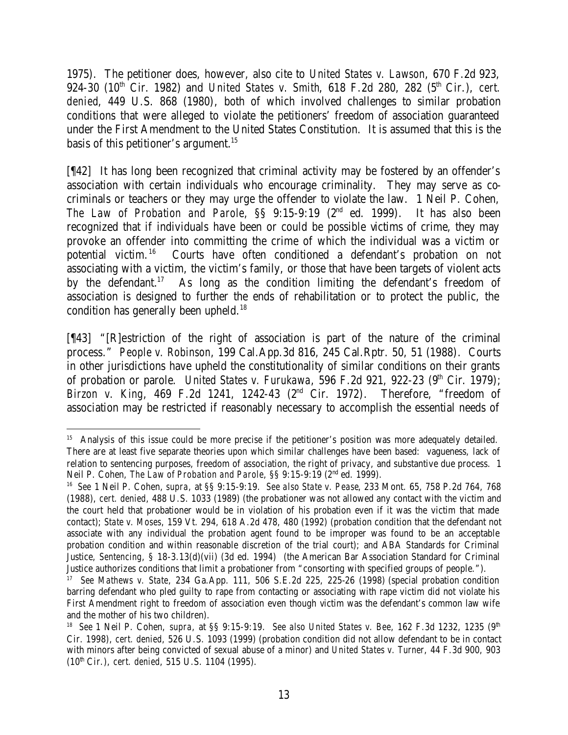1975). The petitioner does, however, also cite to *United States v. Lawson*, 670 F.2d 923, 924-30 (10<sup>th</sup> Cir. 1982) and *United States v. Smith*, 618 F.2d 280, 282 (5<sup>th</sup> Cir.), *cert. denied*, 449 U.S. 868 (1980), both of which involved challenges to similar probation conditions that were alleged to violate the petitioners' freedom of association guaranteed under the First Amendment to the United States Constitution. It is assumed that this is the basis of this petitioner's argument.<sup>15</sup>

[¶42] It has long been recognized that criminal activity may be fostered by an offender's association with certain individuals who encourage criminality. They may serve as cocriminals or teachers or they may urge the offender to violate the law. 1 Neil P. Cohen, *The Law of Probation and Parole*, §§ 9:15-9:19 (2nd ed. 1999). It has also been recognized that if individuals have been or could be possible victims of crime, they may provoke an offender into committing the crime of which the individual was a victim or potential victim.<sup>16</sup> Courts have often conditioned a defendant's probation on not associating with a victim, the victim's family, or those that have been targets of violent acts by the defendant.<sup>17</sup> As long as the condition limiting the defendant's freedom of association is designed to further the ends of rehabilitation or to protect the public, the condition has generally been upheld.<sup>18</sup>

[¶43] "[R]estriction of the right of association is part of the nature of the criminal process." *People v. Robinson*, 199 Cal.App.3d 816, 245 Cal.Rptr. 50, 51 (1988). Courts in other jurisdictions have upheld the constitutionality of similar conditions on their grants of probation or parole. *United States v. Furukawa*, 596 F.2d 921, 922-23 (9<sup>th</sup> Cir. 1979); *Birzon v. King*, 469 F.2d 1241, 1242-43 (2nd Cir. 1972). Therefore, "freedom of association may be restricted if reasonably necessary to accomplish the essential needs of

 <sup>15</sup> Analysis of this issue could be more precise if the petitioner's position was more adequately detailed. There are at least five separate theories upon which similar challenges have been based: vagueness, lack of relation to sentencing purposes, freedom of association, the right of privacy, and substantive due process. 1 Neil P. Cohen, *The Law of Probation and Parole*, §§ 9:15-9:19 (2<sup>nd</sup> ed. 1999).

<sup>16</sup> *See* 1 Neil P. Cohen, *supra*, at §§ 9:15-9:19. *See also State v. Pease*, 233 Mont. 65, 758 P.2d 764, 768 (1988), *cert. denied*, 488 U.S. 1033 (1989) (the probationer was not allowed any contact with the victim and the court held that probationer would be in violation of his probation even if it was the victim that made contact); *State v. Moses*, 159 Vt. 294, 618 A.2d 478, 480 (1992) (probation condition that the defendant not associate with any individual the probation agent found to be improper was found to be an acceptable probation condition and within reasonable discretion of the trial court); and ABA Standards for Criminal Justice, *Sentencing*, § 18-3.13(d)(vii) (3d ed. 1994) (the American Bar Association Standard for Criminal Justice authorizes conditions that limit a probationer from "consorting with specified groups of people.").

<sup>17</sup> *See Mathews v. State*, 234 Ga.App. 111, 506 S.E.2d 225, 225-26 (1998) (special probation condition barring defendant who pled guilty to rape from contacting or associating with rape victim did not violate his First Amendment right to freedom of association even though victim was the defendant's common law wife and the mother of his two children).

<sup>&</sup>lt;sup>18</sup> *See* 1 Neil P. Cohen, *supra*, at §§ 9:15-9:19. *See also United States v. Bee*, 162 F.3d 1232, 1235 (9<sup>th</sup> Cir. 1998), *cert. denied*, 526 U.S. 1093 (1999) (probation condition did not allow defendant to be in contact with minors after being convicted of sexual abuse of a minor) and *United States v. Turner*, 44 F.3d 900, 903 (10th Cir.), *cert. denied*, 515 U.S. 1104 (1995).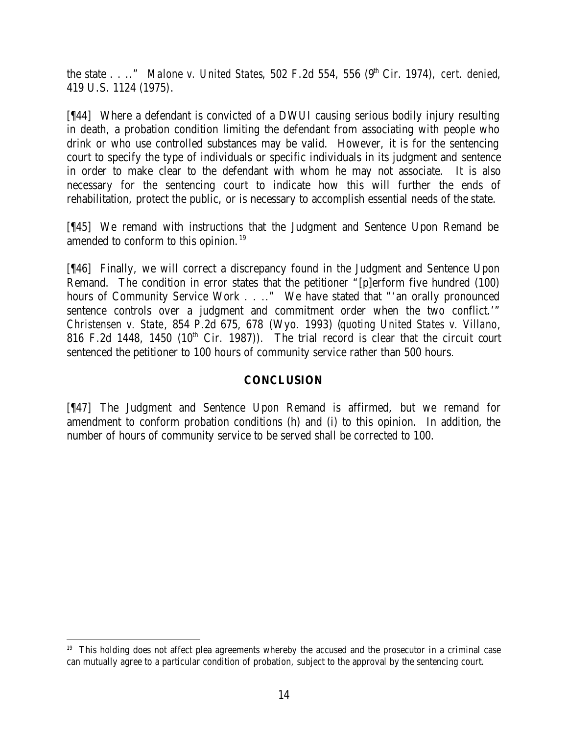the state . . .." *Malone v. United States*, 502 F.2d 554, 556 (9<sup>th</sup> Cir. 1974), *cert. denied*, 419 U.S. 1124 (1975).

[¶44] Where a defendant is convicted of a DWUI causing serious bodily injury resulting in death, a probation condition limiting the defendant from associating with people who drink or who use controlled substances may be valid. However, it is for the sentencing court to specify the type of individuals or specific individuals in its judgment and sentence in order to make clear to the defendant with whom he may not associate. It is also necessary for the sentencing court to indicate how this will further the ends of rehabilitation, protect the public, or is necessary to accomplish essential needs of the state.

[¶45] We remand with instructions that the Judgment and Sentence Upon Remand be amended to conform to this opinion.<sup>19</sup>

[¶46] Finally, we will correct a discrepancy found in the Judgment and Sentence Upon Remand. The condition in error states that the petitioner "[p]erform five hundred (100) hours of Community Service Work . . .." We have stated that "'an orally pronounced sentence controls over a judgment and commitment order when the two conflict.'" *Christensen v. State*, 854 P.2d 675, 678 (Wyo. 1993) (*quoting United States v. Villano*, 816 F.2d 1448, 1450 (10<sup>th</sup> Cir. 1987)). The trial record is clear that the circuit court sentenced the petitioner to 100 hours of community service rather than 500 hours.

## **CONCLUSION**

[¶47] The Judgment and Sentence Upon Remand is affirmed, but we remand for amendment to conform probation conditions (h) and (i) to this opinion. In addition, the number of hours of community service to be served shall be corrected to 100.

<sup>&</sup>lt;sup>19</sup> This holding does not affect plea agreements whereby the accused and the prosecutor in a criminal case can mutually agree to a particular condition of probation, subject to the approval by the sentencing court.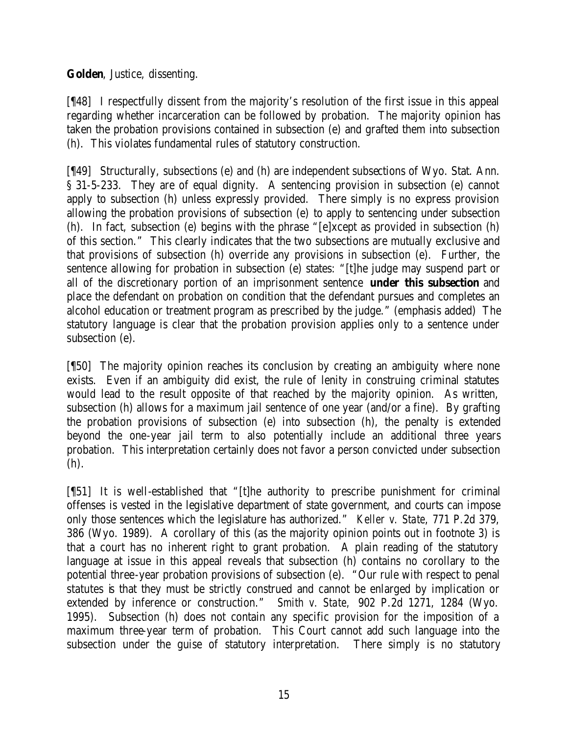### **Golden**, Justice, dissenting.

[¶48] I respectfully dissent from the majority's resolution of the first issue in this appeal regarding whether incarceration can be followed by probation. The majority opinion has taken the probation provisions contained in subsection (e) and grafted them into subsection (h). This violates fundamental rules of statutory construction.

[¶49] Structurally, subsections (e) and (h) are independent subsections of Wyo. Stat. Ann. § 31-5-233. They are of equal dignity. A sentencing provision in subsection (e) cannot apply to subsection (h) unless expressly provided. There simply is no express provision allowing the probation provisions of subsection (e) to apply to sentencing under subsection (h). In fact, subsection (e) begins with the phrase "[e]xcept as provided in subsection (h) of this section." This clearly indicates that the two subsections are mutually exclusive and that provisions of subsection (h) override any provisions in subsection (e). Further, the sentence allowing for probation in subsection (e) states: "[t]he judge may suspend part or all of the discretionary portion of an imprisonment sentence **under this subsection** and place the defendant on probation on condition that the defendant pursues and completes an alcohol education or treatment program as prescribed by the judge." (emphasis added) The statutory language is clear that the probation provision applies only to a sentence under subsection (e).

[¶50] The majority opinion reaches its conclusion by creating an ambiguity where none exists. Even if an ambiguity did exist, the rule of lenity in construing criminal statutes would lead to the result opposite of that reached by the majority opinion. As written, subsection (h) allows for a maximum jail sentence of one year (and/or a fine). By grafting the probation provisions of subsection (e) into subsection (h), the penalty is extended beyond the one-year jail term to also potentially include an additional three years probation. This interpretation certainly does not favor a person convicted under subsection (h).

[¶51] It is well-established that "[t]he authority to prescribe punishment for criminal offenses is vested in the legislative department of state government, and courts can impose only those sentences which the legislature has authorized." *Keller v. State*, 771 P.2d 379, 386 (Wyo. 1989). A corollary of this (as the majority opinion points out in footnote 3) is that a court has no inherent right to grant probation. A plain reading of the statutory language at issue in this appeal reveals that subsection (h) contains no corollary to the potential three-year probation provisions of subsection (e). "Our rule with respect to penal statutes is that they must be strictly construed and cannot be enlarged by implication or extended by inference or construction." *Smith v. State,* 902 P.2d 1271, 1284 (Wyo. 1995). Subsection (h) does not contain any specific provision for the imposition of a maximum three-year term of probation. This Court cannot add such language into the subsection under the guise of statutory interpretation. There simply is no statutory